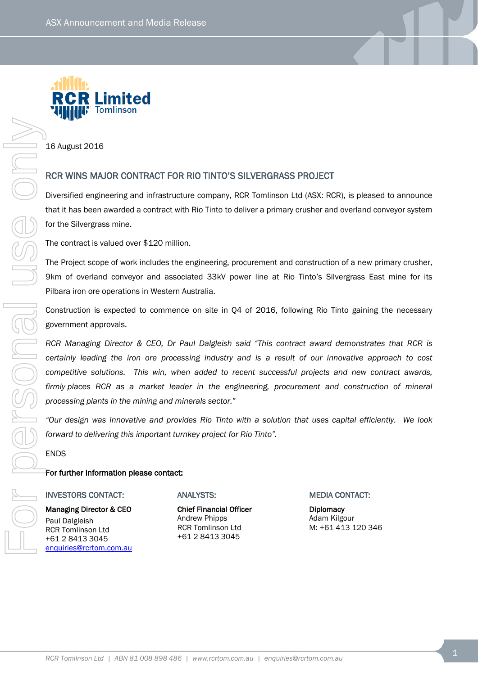

16 August 2016

# RCR WINS MAJOR CONTRACT FOR RIO TINTO'S SILVERGRASS PROJECT

Diversified engineering and infrastructure company, RCR Tomlinson Ltd (ASX: RCR), is pleased to announce that it has been awarded a contract with Rio Tinto to deliver a primary crusher and overland conveyor system for the Silvergrass mine.

The contract is valued over \$120 million.

The Project scope of work includes the engineering, procurement and construction of a new primary crusher, 9km of overland conveyor and associated 33kV power line at Rio Tinto's Silvergrass East mine for its Pilbara iron ore operations in Western Australia.

Construction is expected to commence on site in Q4 of 2016, following Rio Tinto gaining the necessary government approvals.

*RCR Managing Director & CEO, Dr Paul Dalgleish said "This contract award demonstrates that RCR is certainly leading the iron ore processing industry and is a result of our innovative approach to cost competitive solutions. This win, when added to recent successful projects and new contract awards, firmly places RCR as a market leader in the engineering, procurement and construction of mineral processing plants in the mining and minerals sector."* **RCR Who Model and CONTRACT FOR RIO TINTO'S SILVERGIRASS PROJECT**<br>
RCR WIRES MANDER CONTRACT FOR RIO TINTO'S SILVERGIRASS PROJECT<br>
The round at several and content and content and prime process remove that content and cond

*"Our design was innovative and provides Rio Tinto with a solution that uses capital efficiently. We look forward to delivering this important turnkey project for Rio Tinto".*

ENDS

## For further information please contact:

#### INVESTORS CONTACT:

Managing Director & CEO Paul Dalgleish RCR Tomlinson Ltd +61 2 8413 3045 [enquiries@rcrtom.com.au](mailto:enquiries@rcrtom.com.au)

### ANALYSTS:

Chief Financial Officer Andrew Phipps RCR Tomlinson Ltd +61 2 8413 3045

MEDIA CONTACT:

**Diplomacy** Adam Kilgour M: +61 413 120 346